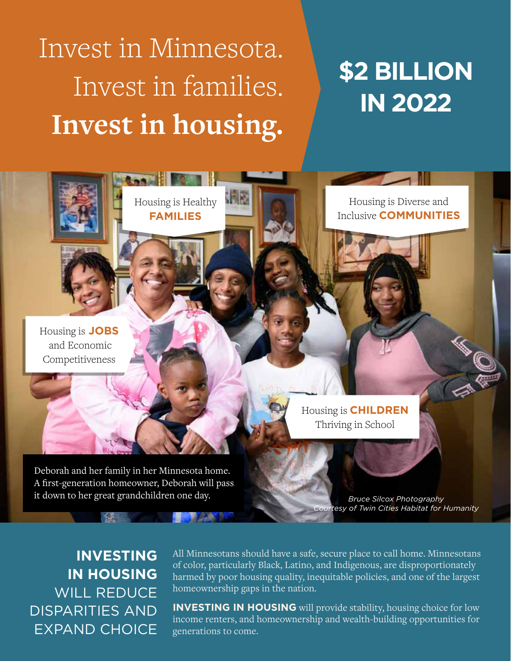# Invest in Minnesota. Invest in families. **Invest in housing.**

Housing is Healthy **FAMILIES** 

锦影

**Longitude** 

## **\$2 BILLION IN 2022**

Housing is **JOBS**  and Economic Competitiveness

Deborah and her family in her Minnesota home. A first-generation homeowner, Deborah will pass it down to her great grandchildren one day. *Bruce Silcox Photography*

**THE READ** 

Housing is Diverse and Inclusive **COMMUNITIES**

Housing is **CHILDREN** Thriving in School

*Courtesy of Twin Cities Habitat for Humanity*

**INVESTING IN HOUSING**  WILL REDUCE DISPARITIES AND EXPAND CHOICE All Minnesotans should have a safe, secure place to call home. Minnesotans of color, particularly Black, Latino, and Indigenous, are disproportionately harmed by poor housing quality, inequitable policies, and one of the largest homeownership gaps in the nation.

**INVESTING IN HOUSING** will provide stability, housing choice for low income renters, and homeownership and wealth-building opportunities for generations to come.